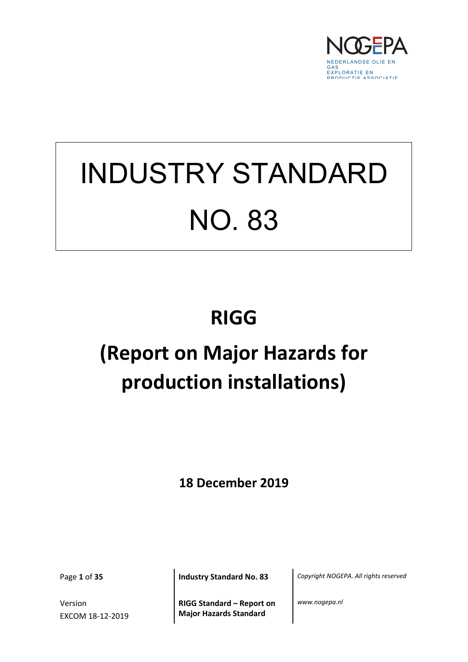

# INDUSTRY STANDARD NO. 83

## **RIGG**

## **(Report on Major Hazards for production installations)**

**18 December 2019**

Version EXCOM 18-12-2019

**RIGG Standard – Report on Major Hazards Standard**

Page **1** of **35 Industry Standard No. 83** *Copyright NOGEPA. All rights reserved*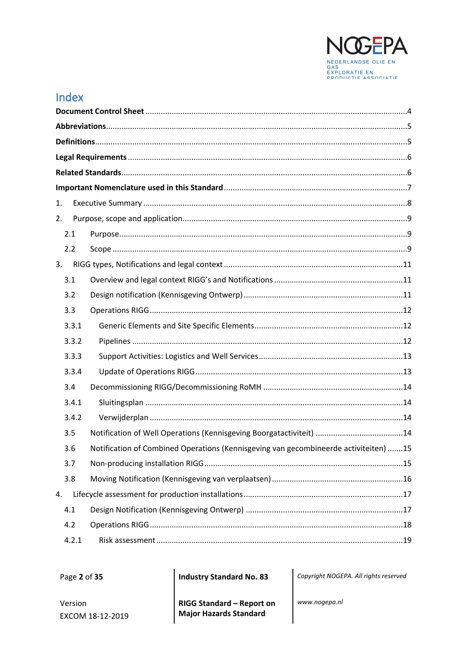

## Index

| 1. |       |                                                                                      |  |  |  |
|----|-------|--------------------------------------------------------------------------------------|--|--|--|
| 2. |       |                                                                                      |  |  |  |
|    | 2.1   |                                                                                      |  |  |  |
|    | 2.2   |                                                                                      |  |  |  |
| 3. |       |                                                                                      |  |  |  |
|    | 3.1   |                                                                                      |  |  |  |
|    | 3.2   |                                                                                      |  |  |  |
|    | 3.3   |                                                                                      |  |  |  |
|    | 3.3.1 |                                                                                      |  |  |  |
|    | 3.3.2 |                                                                                      |  |  |  |
|    | 3.3.3 |                                                                                      |  |  |  |
|    | 3.3.4 |                                                                                      |  |  |  |
|    | 3.4   |                                                                                      |  |  |  |
|    | 3.4.1 |                                                                                      |  |  |  |
|    | 3.4.2 |                                                                                      |  |  |  |
|    | 3.5   |                                                                                      |  |  |  |
|    | 3.6   | Notification of Combined Operations (Kennisgeving van gecombineerde activiteiten) 15 |  |  |  |
|    | 3.7   |                                                                                      |  |  |  |
|    | 3.8   |                                                                                      |  |  |  |
| 4. |       |                                                                                      |  |  |  |
|    | 4.1   |                                                                                      |  |  |  |
|    | 4.2   |                                                                                      |  |  |  |
|    | 4.2.1 |                                                                                      |  |  |  |

Page 2 of 35

**Industry Standard No. 83** 

Copyright NOGEPA. All rights reserved

Version EXCOM 18-12-2019 RIGG Standard - Report on **Major Hazards Standard**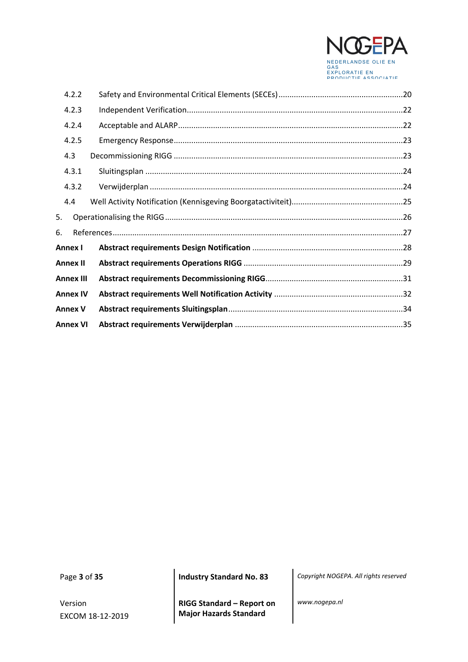

|         | 4.2.2            |  |
|---------|------------------|--|
|         | 4.2.3            |  |
|         | 4.2.4            |  |
|         | 4.2.5            |  |
|         | 4.3              |  |
|         | 4.3.1            |  |
|         | 4.3.2            |  |
|         | 4.4              |  |
| 5.      |                  |  |
| 6.      |                  |  |
| Annex I |                  |  |
|         | <b>Annex II</b>  |  |
|         | <b>Annex III</b> |  |
|         | <b>Annex IV</b>  |  |
|         | <b>Annex V</b>   |  |
|         | Annex VI         |  |

Version EXCOM 18-12-2019

**RIGG Standard – Report on Major Hazards Standard**

Page **3** of **35 Industry Standard No. 83** *Copyright NOGEPA. All rights reserved*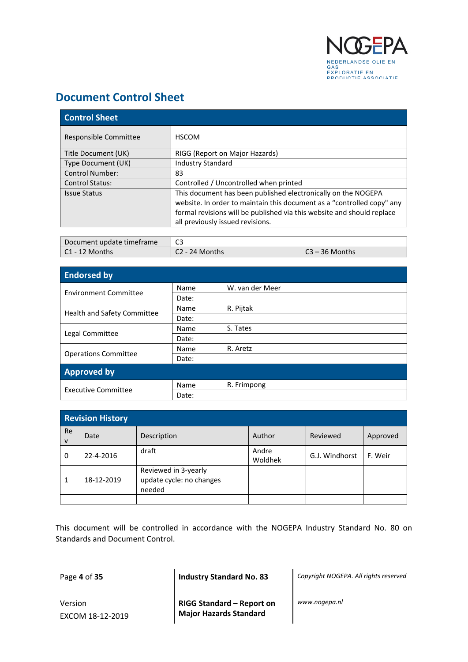

## <span id="page-3-0"></span>**Document Control Sheet**

| <b>Control Sheet</b>   |                                                                                                                                                                                                                                                       |  |  |  |
|------------------------|-------------------------------------------------------------------------------------------------------------------------------------------------------------------------------------------------------------------------------------------------------|--|--|--|
| Responsible Committee  | <b>HSCOM</b>                                                                                                                                                                                                                                          |  |  |  |
| Title Document (UK)    | RIGG (Report on Major Hazards)                                                                                                                                                                                                                        |  |  |  |
| Type Document (UK)     | <b>Industry Standard</b>                                                                                                                                                                                                                              |  |  |  |
| <b>Control Number:</b> | 83                                                                                                                                                                                                                                                    |  |  |  |
| <b>Control Status:</b> | Controlled / Uncontrolled when printed                                                                                                                                                                                                                |  |  |  |
| <b>Issue Status</b>    | This document has been published electronically on the NOGEPA<br>website. In order to maintain this document as a "controlled copy" any<br>formal revisions will be published via this website and should replace<br>all previously issued revisions. |  |  |  |

| Document update timeframe | cJ             |                  |  |
|---------------------------|----------------|------------------|--|
| C1 - 12 Months            | C2 - 24 Months | $C3 - 36$ Months |  |

| <b>Endorsed by</b>           |       |                 |  |  |
|------------------------------|-------|-----------------|--|--|
| <b>Environment Committee</b> | Name  | W. van der Meer |  |  |
|                              | Date: |                 |  |  |
|                              | Name  | R. Pijtak       |  |  |
| Health and Safety Committee  | Date: |                 |  |  |
|                              | Name  | S. Tates        |  |  |
| Legal Committee              | Date: |                 |  |  |
|                              | Name  | R. Aretz        |  |  |
| <b>Operations Committee</b>  | Date: |                 |  |  |
| <b>Approved by</b>           |       |                 |  |  |
| <b>Executive Committee</b>   | Name  | R. Frimpong     |  |  |
|                              | Date: |                 |  |  |

| <b>Revision History</b> |            |                                                            |                  |                |          |  |
|-------------------------|------------|------------------------------------------------------------|------------------|----------------|----------|--|
| Re<br>$\mathsf{v}$      | Date       | Description                                                | Author           | Reviewed       | Approved |  |
| 0                       | 22-4-2016  | draft                                                      | Andre<br>Woldhek | G.J. Windhorst | F. Weir  |  |
| 1                       | 18-12-2019 | Reviewed in 3-yearly<br>update cycle: no changes<br>needed |                  |                |          |  |
|                         |            |                                                            |                  |                |          |  |

This document will be controlled in accordance with the NOGEPA Industry Standard No. 80 on Standards and Document Control.

Version EXCOM 18-12-2019 **RIGG Standard – Report on Major Hazards Standard**

Page **4** of **35 Industry Standard No. 83** *Copyright NOGEPA. All rights reserved*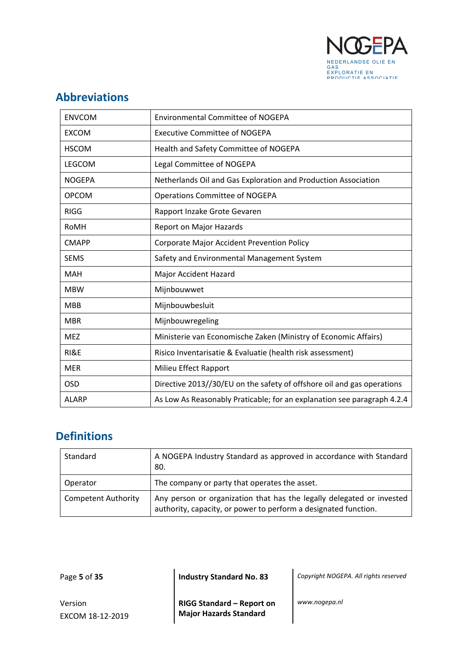

## <span id="page-4-0"></span>**Abbreviations**

| <b>ENVCOM</b> | <b>Environmental Committee of NOGEPA</b>                                |
|---------------|-------------------------------------------------------------------------|
| <b>EXCOM</b>  | <b>Executive Committee of NOGEPA</b>                                    |
| <b>HSCOM</b>  | Health and Safety Committee of NOGEPA                                   |
| LEGCOM        | Legal Committee of NOGEPA                                               |
| <b>NOGEPA</b> | Netherlands Oil and Gas Exploration and Production Association          |
| <b>OPCOM</b>  | <b>Operations Committee of NOGEPA</b>                                   |
| <b>RIGG</b>   | Rapport Inzake Grote Gevaren                                            |
| RoMH          | Report on Major Hazards                                                 |
| <b>CMAPP</b>  | <b>Corporate Major Accident Prevention Policy</b>                       |
| <b>SEMS</b>   | Safety and Environmental Management System                              |
| <b>MAH</b>    | <b>Major Accident Hazard</b>                                            |
| <b>MBW</b>    | Mijnbouwwet                                                             |
| <b>MBB</b>    | Mijnbouwbesluit                                                         |
| <b>MBR</b>    | Mijnbouwregeling                                                        |
| <b>MEZ</b>    | Ministerie van Economische Zaken (Ministry of Economic Affairs)         |
| RI&E          | Risico Inventarisatie & Evaluatie (health risk assessment)              |
| <b>MER</b>    | Milieu Effect Rapport                                                   |
| <b>OSD</b>    | Directive 2013//30/EU on the safety of offshore oil and gas operations  |
| <b>ALARP</b>  | As Low As Reasonably Praticable; for an explanation see paragraph 4.2.4 |

## <span id="page-4-1"></span>**Definitions**

| Standard                   | A NOGEPA Industry Standard as approved in accordance with Standard<br>80.                                                                |  |  |
|----------------------------|------------------------------------------------------------------------------------------------------------------------------------------|--|--|
| Operator                   | The company or party that operates the asset.                                                                                            |  |  |
| <b>Competent Authority</b> | Any person or organization that has the legally delegated or invested<br>authority, capacity, or power to perform a designated function. |  |  |

Page **5** of **35 Industry Standard No. 83** *Copyright NOGEPA. All rights reserved*

Version EXCOM 18-12-2019 **RIGG Standard – Report on Major Hazards Standard**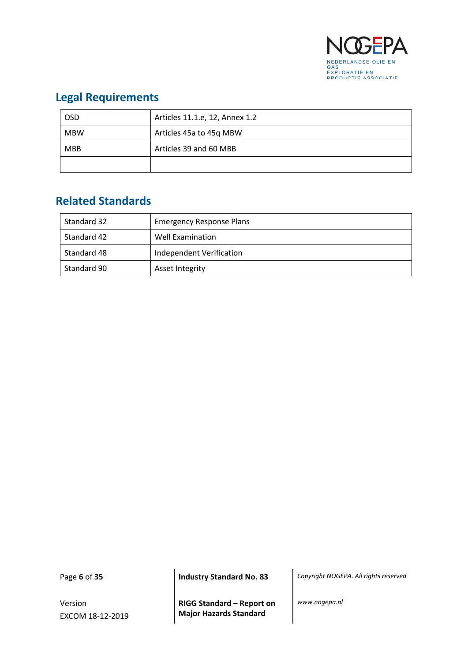

## <span id="page-5-0"></span>**Legal Requirements**

| <b>OSD</b> | Articles 11.1.e, 12, Annex 1.2 |  |  |
|------------|--------------------------------|--|--|
| <b>MBW</b> | Articles 45a to 45g MBW        |  |  |
| <b>MBB</b> | Articles 39 and 60 MBB         |  |  |
|            |                                |  |  |

## <span id="page-5-1"></span>**Related Standards**

| Standard 32 | <b>Emergency Response Plans</b> |  |
|-------------|---------------------------------|--|
| Standard 42 | Well Examination                |  |
| Standard 48 | Independent Verification        |  |
| Standard 90 | Asset Integrity                 |  |

Version EXCOM 18-12-2019

**RIGG Standard – Report on Major Hazards Standard**

Page **6** of **35 Industry Standard No. 83** *Copyright NOGEPA. All rights reserved*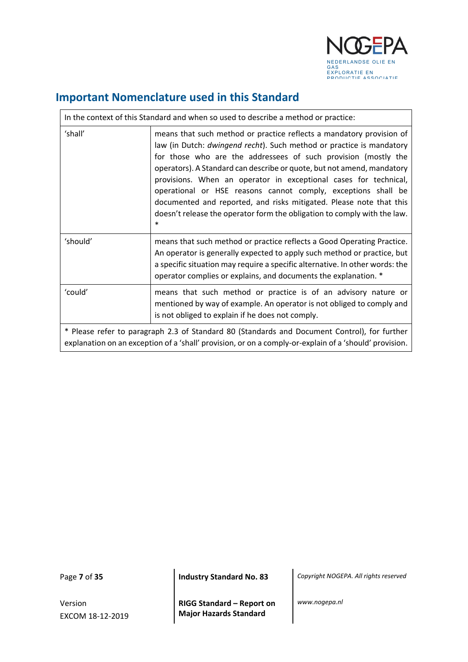

٦

## <span id="page-6-0"></span>**Important Nomenclature used in this Standard**

| In the context of this Standard and when so used to describe a method or practice:                                                                                                                     |                                                                                                                                                                                                                                                                                                                                                                                                                                                                                                                                                                                            |  |  |
|--------------------------------------------------------------------------------------------------------------------------------------------------------------------------------------------------------|--------------------------------------------------------------------------------------------------------------------------------------------------------------------------------------------------------------------------------------------------------------------------------------------------------------------------------------------------------------------------------------------------------------------------------------------------------------------------------------------------------------------------------------------------------------------------------------------|--|--|
| 'shall'                                                                                                                                                                                                | means that such method or practice reflects a mandatory provision of<br>law (in Dutch: dwingend recht). Such method or practice is mandatory<br>for those who are the addressees of such provision (mostly the<br>operators). A Standard can describe or quote, but not amend, mandatory<br>provisions. When an operator in exceptional cases for technical,<br>operational or HSE reasons cannot comply, exceptions shall be<br>documented and reported, and risks mitigated. Please note that this<br>doesn't release the operator form the obligation to comply with the law.<br>$\ast$ |  |  |
| 'should'                                                                                                                                                                                               | means that such method or practice reflects a Good Operating Practice.<br>An operator is generally expected to apply such method or practice, but<br>a specific situation may require a specific alternative. In other words: the<br>operator complies or explains, and documents the explanation. *                                                                                                                                                                                                                                                                                       |  |  |
| 'could'                                                                                                                                                                                                | means that such method or practice is of an advisory nature or<br>mentioned by way of example. An operator is not obliged to comply and<br>is not obliged to explain if he does not comply.                                                                                                                                                                                                                                                                                                                                                                                                |  |  |
| * Please refer to paragraph 2.3 of Standard 80 (Standards and Document Control), for further<br>explanation on an exception of a 'shall' provision, or on a comply-or-explain of a 'should' provision. |                                                                                                                                                                                                                                                                                                                                                                                                                                                                                                                                                                                            |  |  |

 $\Gamma$ 

Version EXCOM 18-12-2019

Page **7** of **35 Industry Standard No. 83** *Copyright NOGEPA. All rights reserved*

**RIGG Standard – Report on Major Hazards Standard**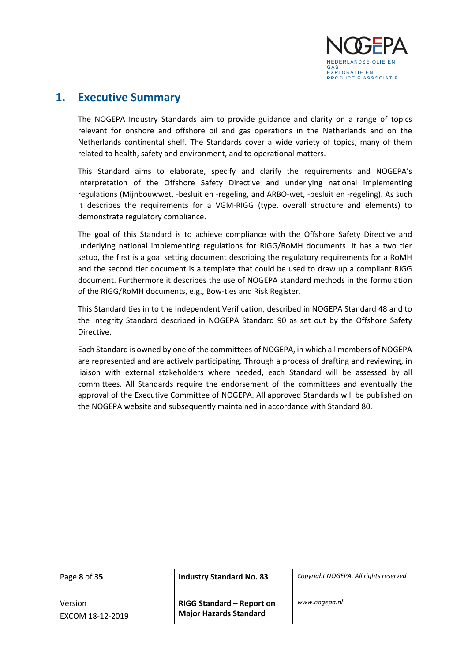

### <span id="page-7-0"></span>**1. Executive Summary**

The NOGEPA Industry Standards aim to provide guidance and clarity on a range of topics relevant for onshore and offshore oil and gas operations in the Netherlands and on the Netherlands continental shelf. The Standards cover a wide variety of topics, many of them related to health, safety and environment, and to operational matters.

This Standard aims to elaborate, specify and clarify the requirements and NOGEPA's interpretation of the Offshore Safety Directive and underlying national implementing regulations (Mijnbouwwet, -besluit en -regeling, and ARBO-wet, -besluit en -regeling). As such it describes the requirements for a VGM-RIGG (type, overall structure and elements) to demonstrate regulatory compliance.

The goal of this Standard is to achieve compliance with the Offshore Safety Directive and underlying national implementing regulations for RIGG/RoMH documents. It has a two tier setup, the first is a goal setting document describing the regulatory requirements for a RoMH and the second tier document is a template that could be used to draw up a compliant RIGG document. Furthermore it describes the use of NOGEPA standard methods in the formulation of the RIGG/RoMH documents, e.g., Bow-ties and Risk Register.

This Standard ties in to the Independent Verification, described in NOGEPA Standard 48 and to the Integrity Standard described in NOGEPA Standard 90 as set out by the Offshore Safety Directive.

Each Standard is owned by one of the committees of NOGEPA, in which all members of NOGEPA are represented and are actively participating. Through a process of drafting and reviewing, in liaison with external stakeholders where needed, each Standard will be assessed by all committees. All Standards require the endorsement of the committees and eventually the approval of the Executive Committee of NOGEPA. All approved Standards will be published on the NOGEPA website and subsequently maintained in accordance with Standard 80.

Version EXCOM 18-12-2019

Page **8** of **35 Industry Standard No. 83** *Copyright NOGEPA. All rights reserved*

**RIGG Standard – Report on Major Hazards Standard**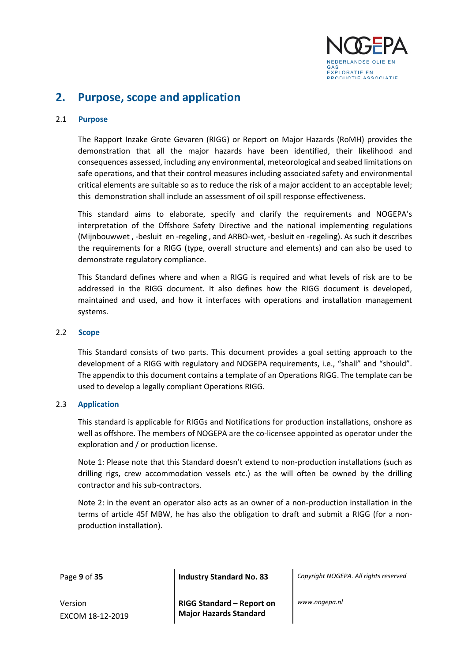

## <span id="page-8-0"></span>**2. Purpose, scope and application**

#### <span id="page-8-1"></span>2.1 **Purpose**

The Rapport Inzake Grote Gevaren (RIGG) or Report on Major Hazards (RoMH) provides the demonstration that all the major hazards have been identified, their likelihood and consequences assessed, including any environmental, meteorological and seabed limitations on safe operations, and that their control measures including associated safety and environmental critical elements are suitable so as to reduce the risk of a major accident to an acceptable level; this demonstration shall include an assessment of oil spill response effectiveness.

This standard aims to elaborate, specify and clarify the requirements and NOGEPA's interpretation of the Offshore Safety Directive and the national implementing regulations (Mijnbouwwet , -besluit en -regeling , and ARBO-wet, -besluit en -regeling). As such it describes the requirements for a RIGG (type, overall structure and elements) and can also be used to demonstrate regulatory compliance.

This Standard defines where and when a RIGG is required and what levels of risk are to be addressed in the RIGG document. It also defines how the RIGG document is developed, maintained and used, and how it interfaces with operations and installation management systems.

#### <span id="page-8-2"></span>2.2 **Scope**

This Standard consists of two parts. This document provides a goal setting approach to the development of a RIGG with regulatory and NOGEPA requirements, i.e., "shall" and "should". The appendix to this document contains a template of an Operations RIGG. The template can be used to develop a legally compliant Operations RIGG.

#### 2.3 **Application**

This standard is applicable for RIGGs and Notifications for production installations, onshore as well as offshore. The members of NOGEPA are the co-licensee appointed as operator under the exploration and / or production license.

Note 1: Please note that this Standard doesn't extend to non-production installations (such as drilling rigs, crew accommodation vessels etc.) as the will often be owned by the drilling contractor and his sub-contractors.

Note 2: in the event an operator also acts as an owner of a non-production installation in the terms of article 45f MBW, he has also the obligation to draft and submit a RIGG (for a nonproduction installation).

Page **9** of **35 Industry Standard No. 83** *Copyright NOGEPA. All rights reserved*

Version EXCOM 18-12-2019 **RIGG Standard – Report on Major Hazards Standard**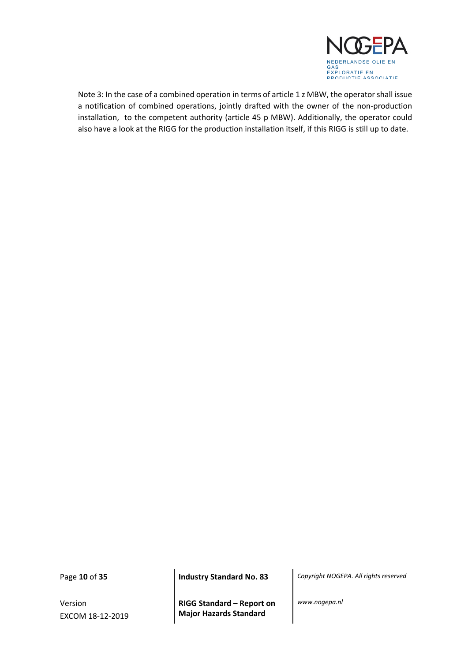

Note 3: In the case of a combined operation in terms of article 1 z MBW, the operator shall issue a notification of combined operations, jointly drafted with the owner of the non-production installation, to the competent authority (article 45 p MBW). Additionally, the operator could also have a look at the RIGG for the production installation itself, if this RIGG is still up to date.

Version EXCOM 18-12-2019

**RIGG Standard – Report on Major Hazards Standard**

Page **10** of **35 Industry Standard No. 83** *Copyright NOGEPA. All rights reserved*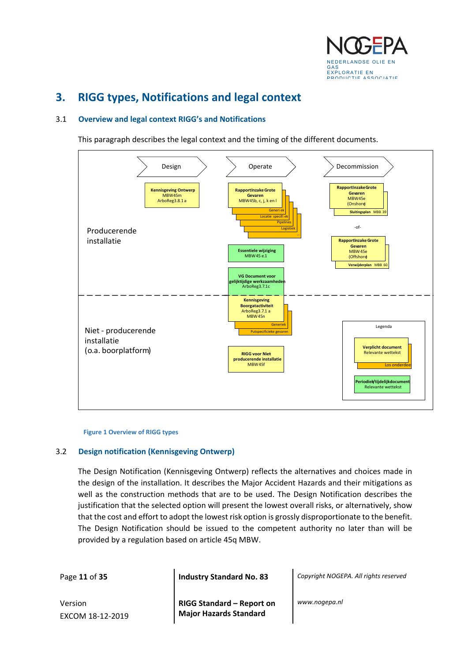

## <span id="page-10-0"></span>**3. RIGG types, Notifications and legal context**

#### <span id="page-10-1"></span>3.1 **Overview and legal context RIGG's and Notifications**

This paragraph describes the legal context and the timing of the different documents.



#### **Figure 1 Overview of RIGG types**

#### <span id="page-10-2"></span>3.2 **Design notification (Kennisgeving Ontwerp)**

The Design Notification (Kennisgeving Ontwerp) reflects the alternatives and choices made in the design of the installation. It describes the Major Accident Hazards and their mitigations as well as the construction methods that are to be used. The Design Notification describes the justification that the selected option will present the lowest overall risks, or alternatively, show that the cost and effort to adopt the lowest risk option is grossly disproportionate to the benefit. The Design Notification should be issued to the competent authority no later than will be provided by a regulation based on article 45q MBW.

Page **11** of **35 Industry Standard No. 83** *Copyright NOGEPA. All rights reserved*

Version EXCOM 18-12-2019 **RIGG Standard – Report on Major Hazards Standard**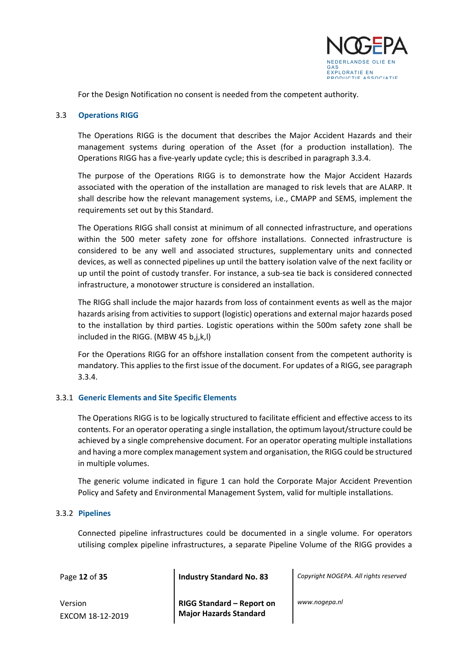

For the Design Notification no consent is needed from the competent authority.

#### <span id="page-11-0"></span>3.3 **Operations RIGG**

The Operations RIGG is the document that describes the Major Accident Hazards and their management systems during operation of the Asset (for a production installation). The Operations RIGG has a five-yearly update cycle; this is described in paragraph 3.3.4.

The purpose of the Operations RIGG is to demonstrate how the Major Accident Hazards associated with the operation of the installation are managed to risk levels that are ALARP. It shall describe how the relevant management systems, i.e., CMAPP and SEMS, implement the requirements set out by this Standard.

The Operations RIGG shall consist at minimum of all connected infrastructure, and operations within the 500 meter safety zone for offshore installations. Connected infrastructure is considered to be any well and associated structures, supplementary units and connected devices, as well as connected pipelines up until the battery isolation valve of the next facility or up until the point of custody transfer. For instance, a sub-sea tie back is considered connected infrastructure, a monotower structure is considered an installation.

The RIGG shall include the major hazards from loss of containment events as well as the major hazards arising from activities to support (logistic) operations and external major hazards posed to the installation by third parties. Logistic operations within the 500m safety zone shall be included in the RIGG. (MBW 45 b,j,k,l)

For the Operations RIGG for an offshore installation consent from the competent authority is mandatory. This applies to the first issue of the document. For updates of a RIGG, see paragraph 3.3.4.

#### <span id="page-11-1"></span>3.3.1 **Generic Elements and Site Specific Elements**

The Operations RIGG is to be logically structured to facilitate efficient and effective access to its contents. For an operator operating a single installation, the optimum layout/structure could be achieved by a single comprehensive document. For an operator operating multiple installations and having a more complex management system and organisation, the RIGG could be structured in multiple volumes.

The generic volume indicated in figure 1 can hold the Corporate Major Accident Prevention Policy and Safety and Environmental Management System, valid for multiple installations.

#### <span id="page-11-2"></span>3.3.2 **Pipelines**

Connected pipeline infrastructures could be documented in a single volume. For operators utilising complex pipeline infrastructures, a separate Pipeline Volume of the RIGG provides a

Version EXCOM 18-12-2019 **RIGG Standard – Report on Major Hazards Standard**

Page **12** of **35 Industry Standard No. 83** *Copyright NOGEPA. All rights reserved*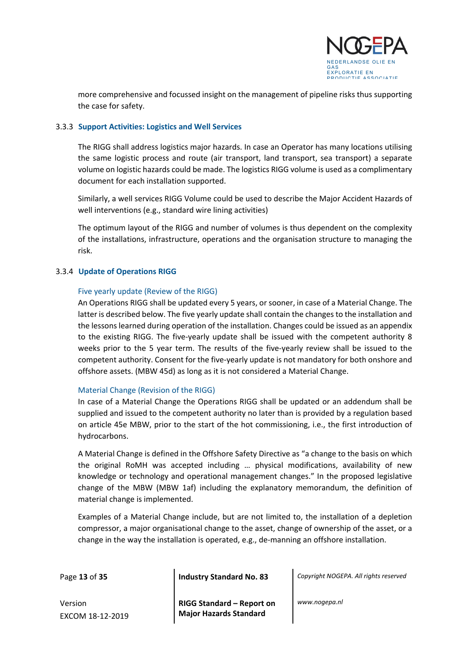

more comprehensive and focussed insight on the management of pipeline risks thus supporting the case for safety.

#### <span id="page-12-0"></span>3.3.3 **Support Activities: Logistics and Well Services**

The RIGG shall address logistics major hazards. In case an Operator has many locations utilising the same logistic process and route (air transport, land transport, sea transport) a separate volume on logistic hazards could be made. The logistics RIGG volume is used as a complimentary document for each installation supported.

Similarly, a well services RIGG Volume could be used to describe the Major Accident Hazards of well interventions (e.g., standard wire lining activities)

The optimum layout of the RIGG and number of volumes is thus dependent on the complexity of the installations, infrastructure, operations and the organisation structure to managing the risk.

#### <span id="page-12-1"></span>3.3.4 **Update of Operations RIGG**

#### Five yearly update (Review of the RIGG)

An Operations RIGG shall be updated every 5 years, or sooner, in case of a Material Change. The latter is described below. The five yearly update shall contain the changes to the installation and the lessons learned during operation of the installation. Changes could be issued as an appendix to the existing RIGG. The five-yearly update shall be issued with the competent authority 8 weeks prior to the 5 year term. The results of the five-yearly review shall be issued to the competent authority. Consent for the five-yearly update is not mandatory for both onshore and offshore assets. (MBW 45d) as long as it is not considered a Material Change.

#### Material Change (Revision of the RIGG)

In case of a Material Change the Operations RIGG shall be updated or an addendum shall be supplied and issued to the competent authority no later than is provided by a regulation based on article 45e MBW, prior to the start of the hot commissioning, i.e., the first introduction of hydrocarbons.

A Material Change is defined in the Offshore Safety Directive as "a change to the basis on which the original RoMH was accepted including … physical modifications, availability of new knowledge or technology and operational management changes." In the proposed legislative change of the MBW (MBW 1af) including the explanatory memorandum, the definition of material change is implemented.

Examples of a Material Change include, but are not limited to, the installation of a depletion compressor, a major organisational change to the asset, change of ownership of the asset, or a change in the way the installation is operated, e.g., de-manning an offshore installation.

Page **13** of **35 Industry Standard No. 83** *Copyright NOGEPA. All rights reserved*

Version EXCOM 18-12-2019 **RIGG Standard – Report on Major Hazards Standard**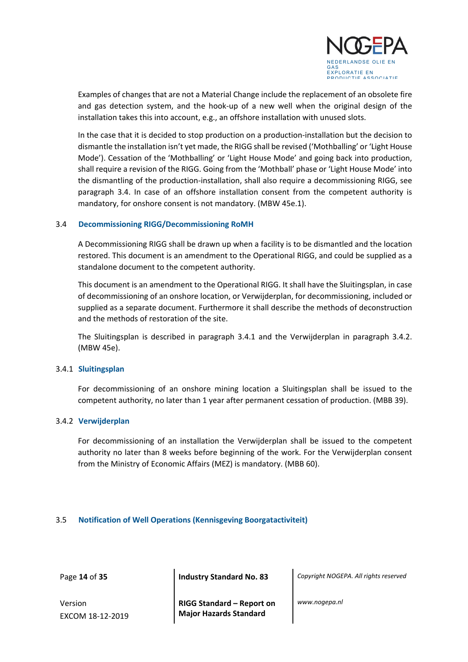

Examples of changes that are not a Material Change include the replacement of an obsolete fire and gas detection system, and the hook-up of a new well when the original design of the installation takes this into account, e.g., an offshore installation with unused slots.

In the case that it is decided to stop production on a production-installation but the decision to dismantle the installation isn't yet made, the RIGG shall be revised ('Mothballing' or 'Light House Mode'). Cessation of the 'Mothballing' or 'Light House Mode' and going back into production, shall require a revision of the RIGG. Going from the 'Mothball' phase or 'Light House Mode' into the dismantling of the production-installation, shall also require a decommissioning RIGG, see paragraph 3.4. In case of an offshore installation consent from the competent authority is mandatory, for onshore consent is not mandatory. (MBW 45e.1).

#### <span id="page-13-0"></span>3.4 **Decommissioning RIGG/Decommissioning RoMH**

A Decommissioning RIGG shall be drawn up when a facility is to be dismantled and the location restored. This document is an amendment to the Operational RIGG, and could be supplied as a standalone document to the competent authority.

This document is an amendment to the Operational RIGG. It shall have the Sluitingsplan, in case of decommissioning of an onshore location, or Verwijderplan, for decommissioning, included or supplied as a separate document. Furthermore it shall describe the methods of deconstruction and the methods of restoration of the site.

The Sluitingsplan is described in paragraph 3.4.1 and the Verwijderplan in paragraph 3.4.2. (MBW 45e).

#### <span id="page-13-1"></span>3.4.1 **Sluitingsplan**

For decommissioning of an onshore mining location a Sluitingsplan shall be issued to the competent authority, no later than 1 year after permanent cessation of production. (MBB 39).

#### <span id="page-13-2"></span>3.4.2 **Verwijderplan**

For decommissioning of an installation the Verwijderplan shall be issued to the competent authority no later than 8 weeks before beginning of the work. For the Verwijderplan consent from the Ministry of Economic Affairs (MEZ) is mandatory. (MBB 60).

#### <span id="page-13-3"></span>3.5 **Notification of Well Operations (Kennisgeving Boorgatactiviteit)**

Page **14** of **35 Industry Standard No. 83** *Copyright NOGEPA. All rights reserved*

Version EXCOM 18-12-2019 **RIGG Standard – Report on Major Hazards Standard**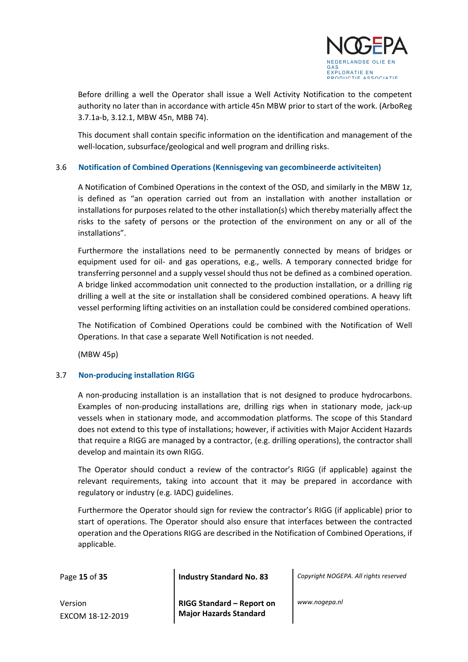

Before drilling a well the Operator shall issue a Well Activity Notification to the competent authority no later than in accordance with article 45n MBW prior to start of the work. (ArboReg 3.7.1a-b, 3.12.1, MBW 45n, MBB 74).

This document shall contain specific information on the identification and management of the well-location, subsurface/geological and well program and drilling risks.

#### <span id="page-14-0"></span>3.6 **Notification of Combined Operations (Kennisgeving van gecombineerde activiteiten)**

A Notification of Combined Operations in the context of the OSD, and similarly in the MBW 1z, is defined as "an operation carried out from an installation with another installation or installations for purposes related to the other installation(s) which thereby materially affect the risks to the safety of persons or the protection of the environment on any or all of the installations".

Furthermore the installations need to be permanently connected by means of bridges or equipment used for oil- and gas operations, e.g., wells. A temporary connected bridge for transferring personnel and a supply vessel should thus not be defined as a combined operation. A bridge linked accommodation unit connected to the production installation, or a drilling rig drilling a well at the site or installation shall be considered combined operations. A heavy lift vessel performing lifting activities on an installation could be considered combined operations.

The Notification of Combined Operations could be combined with the Notification of Well Operations. In that case a separate Well Notification is not needed.

(MBW 45p)

#### <span id="page-14-1"></span>3.7 **Non-producing installation RIGG**

A non-producing installation is an installation that is not designed to produce hydrocarbons. Examples of non-producing installations are, drilling rigs when in stationary mode, jack-up vessels when in stationary mode, and accommodation platforms. The scope of this Standard does not extend to this type of installations; however, if activities with Major Accident Hazards that require a RIGG are managed by a contractor, (e.g. drilling operations), the contractor shall develop and maintain its own RIGG.

The Operator should conduct a review of the contractor's RIGG (if applicable) against the relevant requirements, taking into account that it may be prepared in accordance with regulatory or industry (e.g. IADC) guidelines.

Furthermore the Operator should sign for review the contractor's RIGG (if applicable) prior to start of operations. The Operator should also ensure that interfaces between the contracted operation and the Operations RIGG are described in the Notification of Combined Operations, if applicable.

Page **15** of **35 Industry Standard No. 83** *Copyright NOGEPA. All rights reserved*

Version EXCOM 18-12-2019 **RIGG Standard – Report on Major Hazards Standard**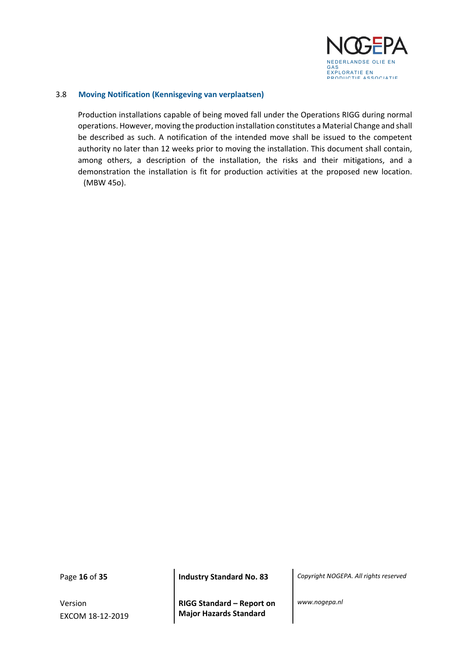

#### <span id="page-15-0"></span>3.8 **Moving Notification (Kennisgeving van verplaatsen)**

Production installations capable of being moved fall under the Operations RIGG during normal operations. However, moving the production installation constitutes a Material Change and shall be described as such. A notification of the intended move shall be issued to the competent authority no later than 12 weeks prior to moving the installation. This document shall contain, among others, a description of the installation, the risks and their mitigations, and a demonstration the installation is fit for production activities at the proposed new location. (MBW 45o).

Version EXCOM 18-12-2019

**RIGG Standard – Report on Major Hazards Standard**

Page **16** of **35 Industry Standard No. 83** *Copyright NOGEPA. All rights reserved*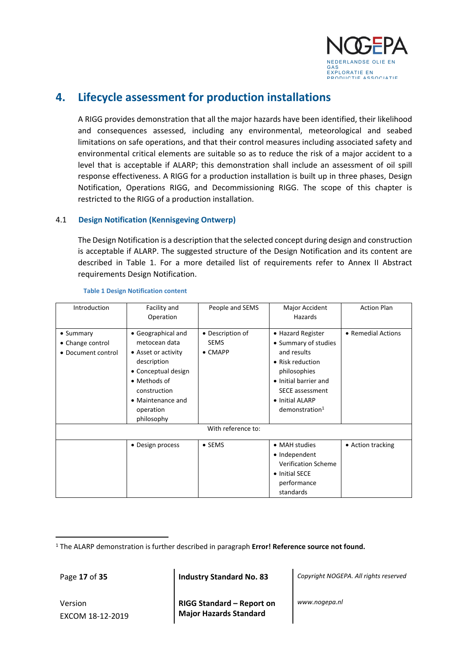

## <span id="page-16-0"></span>**4. Lifecycle assessment for production installations**

A RIGG provides demonstration that all the major hazards have been identified, their likelihood and consequences assessed, including any environmental, meteorological and seabed limitations on safe operations, and that their control measures including associated safety and environmental critical elements are suitable so as to reduce the risk of a major accident to a level that is acceptable if ALARP; this demonstration shall include an assessment of oil spill response effectiveness. A RIGG for a production installation is built up in three phases, Design Notification, Operations RIGG, and Decommissioning RIGG. The scope of this chapter is restricted to the RIGG of a production installation.

#### <span id="page-16-1"></span>4.1 **Design Notification (Kennisgeving Ontwerp)**

The Design Notification is a description that the selected concept during design and construction is acceptable if ALARP. The suggested structure of the Design Notification and its content are described in Table 1. For a more detailed list of requirements refer to Annex II Abstract requirements Design Notification.

| Introduction       | Facility and        | People and SEMS  | Major Accident             | <b>Action Plan</b> |
|--------------------|---------------------|------------------|----------------------------|--------------------|
|                    | Operation           |                  | Hazards                    |                    |
|                    |                     |                  |                            |                    |
| $\bullet$ Summary  | • Geographical and  | • Description of | • Hazard Register          | • Remedial Actions |
| • Change control   | metocean data       | <b>SEMS</b>      | • Summary of studies       |                    |
| • Document control | • Asset or activity | $\bullet$ CMAPP  | and results                |                    |
|                    | description         |                  | • Risk reduction           |                    |
|                    | • Conceptual design |                  | philosophies               |                    |
|                    | • Methods of        |                  | • Initial barrier and      |                    |
|                    | construction        |                  | <b>SECE assessment</b>     |                    |
|                    | • Maintenance and   |                  | • Initial ALARP            |                    |
|                    | operation           |                  | demonstration <sup>1</sup> |                    |
|                    | philosophy          |                  |                            |                    |
|                    |                     |                  |                            |                    |
|                    |                     |                  |                            |                    |
|                    | • Design process    | $\bullet$ SEMS   | • MAH studies              | • Action tracking  |
|                    |                     |                  | • Independent              |                    |
|                    |                     |                  | <b>Verification Scheme</b> |                    |
|                    |                     |                  | • Initial SECE             |                    |
|                    |                     |                  | performance                |                    |
|                    |                     |                  | standards                  |                    |

**Table 1 Design Notification content**

Page **17** of **35 Industry Standard No. 83** *Copyright NOGEPA. All rights reserved*

Version EXCOM 18-12-2019 **RIGG Standard – Report on Major Hazards Standard**

<sup>&</sup>lt;sup>1</sup> The ALARP demonstration is further described in paragraph **Error! Reference source not found.**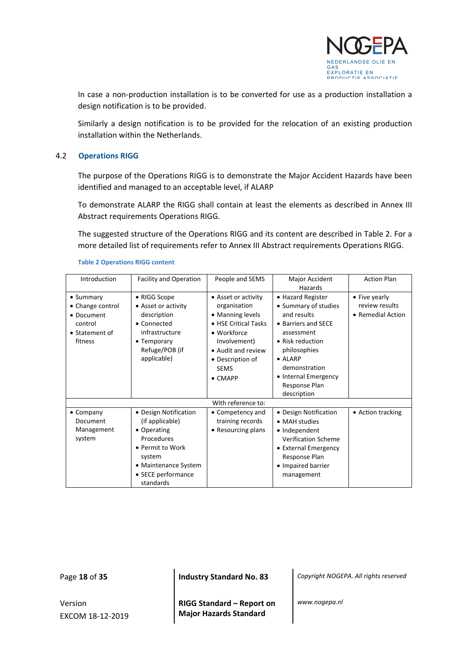

In case a non-production installation is to be converted for use as a production installation a design notification is to be provided.

Similarly a design notification is to be provided for the relocation of an existing production installation within the Netherlands.

#### <span id="page-17-0"></span>4.2 **Operations RIGG**

The purpose of the Operations RIGG is to demonstrate the Major Accident Hazards have been identified and managed to an acceptable level, if ALARP

To demonstrate ALARP the RIGG shall contain at least the elements as described in Annex III Abstract requirements Operations RIGG.

The suggested structure of the Operations RIGG and its content are described in Table 2. For a more detailed list of requirements refer to Annex III Abstract requirements Operations RIGG.

| Introduction                                                                        | <b>Facility and Operation</b>                                                                                                                                  | People and SEMS                                                                                                                                                                            | Major Accident<br>Hazards                                                                                                                                                                                                     | <b>Action Plan</b>                                   |
|-------------------------------------------------------------------------------------|----------------------------------------------------------------------------------------------------------------------------------------------------------------|--------------------------------------------------------------------------------------------------------------------------------------------------------------------------------------------|-------------------------------------------------------------------------------------------------------------------------------------------------------------------------------------------------------------------------------|------------------------------------------------------|
| • Summary<br>• Change control<br>• Document<br>control<br>• Statement of<br>fitness | • RIGG Scope<br>• Asset or activity<br>description<br>• Connected<br>infrastructure<br>• Temporary<br>Refuge/POB (if<br>applicable)                            | • Asset or activity<br>organisation<br>• Manning levels<br>• HSE Critical Tasks<br>• Workforce<br>Involvement)<br>• Audit and review<br>• Description of<br><b>SEMS</b><br>$\bullet$ CMAPP | • Hazard Register<br>• Summary of studies<br>and results<br>• Barriers and SECE<br>assessment<br>• Risk reduction<br>philosophies<br>$\bullet$ ALARP<br>demonstration<br>• Internal Emergency<br>Response Plan<br>description | • Five yearly<br>review results<br>• Remedial Action |
|                                                                                     |                                                                                                                                                                | With reference to:                                                                                                                                                                         |                                                                                                                                                                                                                               |                                                      |
| $\bullet$ Company<br>Document<br>Management<br>system                               | • Design Notification<br>(if applicable)<br>• Operating<br>Procedures<br>• Permit to Work<br>system<br>• Maintenance System<br>• SECE performance<br>standards | • Competency and<br>training records<br>• Resourcing plans                                                                                                                                 | • Design Notification<br>• MAH studies<br>• Independent<br><b>Verification Scheme</b><br>• External Emergency<br>Response Plan<br>• Impaired barrier<br>management                                                            | • Action tracking                                    |

#### **Table 2 Operations RIGG content**

Version EXCOM 18-12-2019

**RIGG Standard – Report on Major Hazards Standard**

Page **18** of **35 Industry Standard No. 83** *Copyright NOGEPA. All rights reserved*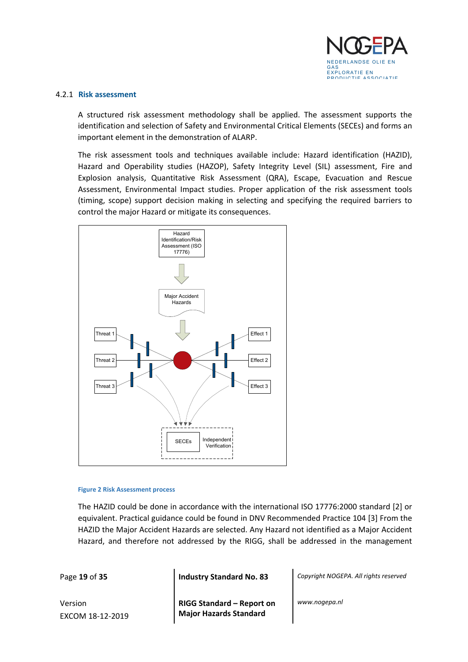

#### <span id="page-18-0"></span>4.2.1 **Risk assessment**

A structured risk assessment methodology shall be applied. The assessment supports the identification and selection of Safety and Environmental Critical Elements (SECEs) and forms an important element in the demonstration of ALARP.

The risk assessment tools and techniques available include: Hazard identification (HAZID), Hazard and Operability studies (HAZOP), Safety Integrity Level (SIL) assessment, Fire and Explosion analysis, Quantitative Risk Assessment (QRA), Escape, Evacuation and Rescue Assessment, Environmental Impact studies. Proper application of the risk assessment tools (timing, scope) support decision making in selecting and specifying the required barriers to control the major Hazard or mitigate its consequences.



#### **Figure 2 Risk Assessment process**

The HAZID could be done in accordance with the international ISO 17776:2000 standard [2] or equivalent. Practical guidance could be found in DNV Recommended Practice 104 [3] From the HAZID the Major Accident Hazards are selected. Any Hazard not identified as a Major Accident Hazard, and therefore not addressed by the RIGG, shall be addressed in the management

Page **19** of **35 Industry Standard No. 83** *Copyright NOGEPA. All rights reserved*

Version EXCOM 18-12-2019 **RIGG Standard – Report on Major Hazards Standard**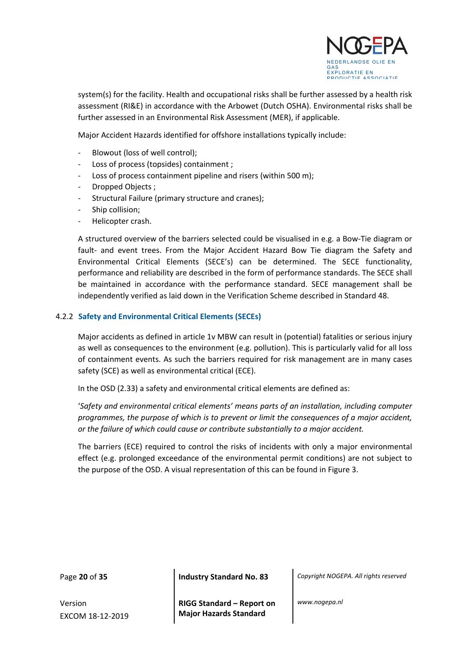

system(s) for the facility. Health and occupational risks shall be further assessed by a health risk assessment (RI&E) in accordance with the Arbowet (Dutch OSHA). Environmental risks shall be further assessed in an Environmental Risk Assessment (MER), if applicable.

Major Accident Hazards identified for offshore installations typically include:

- Blowout (loss of well control);
- Loss of process (topsides) containment;
- Loss of process containment pipeline and risers (within 500 m);
- Dropped Objects ;
- Structural Failure (primary structure and cranes);
- Ship collision;
- Helicopter crash.

A structured overview of the barriers selected could be visualised in e.g. a Bow-Tie diagram or fault- and event trees. From the Major Accident Hazard Bow Tie diagram the Safety and Environmental Critical Elements (SECE's) can be determined. The SECE functionality, performance and reliability are described in the form of performance standards. The SECE shall be maintained in accordance with the performance standard. SECE management shall be independently verified as laid down in the Verification Scheme described in Standard 48.

#### <span id="page-19-0"></span>4.2.2 **Safety and Environmental Critical Elements (SECEs)**

Major accidents as defined in article 1v MBW can result in (potential) fatalities or serious injury as well as consequences to the environment (e.g. pollution). This is particularly valid for all loss of containment events. As such the barriers required for risk management are in many cases safety (SCE) as well as environmental critical (ECE).

In the OSD (2.33) a safety and environmental critical elements are defined as:

'*Safety and environmental critical elements' means parts of an installation, including computer programmes, the purpose of which is to prevent or limit the consequences of a major accident, or the failure of which could cause or contribute substantially to a major accident.* 

The barriers (ECE) required to control the risks of incidents with only a major environmental effect (e.g. prolonged exceedance of the environmental permit conditions) are not subject to the purpose of the OSD. A visual representation of this can be found in Figure 3.

Version EXCOM 18-12-2019

Page **20** of **35 Industry Standard No. 83** *Copyright NOGEPA. All rights reserved*

**RIGG Standard – Report on Major Hazards Standard**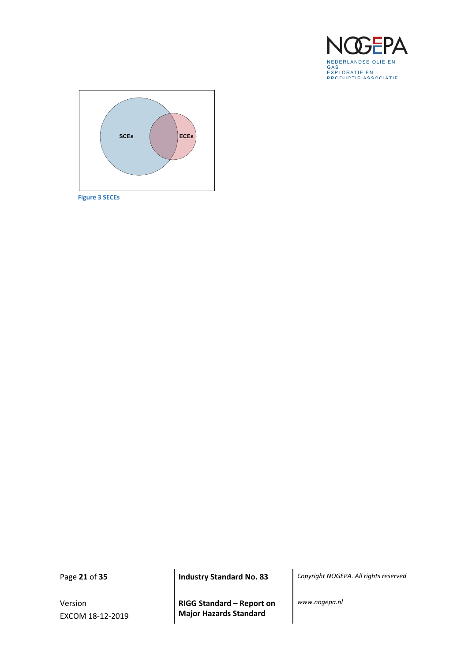



**Figure 3 SECEs**

Version EXCOM 18-12-2019

**RIGG Standard – Report on Major Hazards Standard**

Page **21** of **35 Industry Standard No. 83** *Copyright NOGEPA. All rights reserved*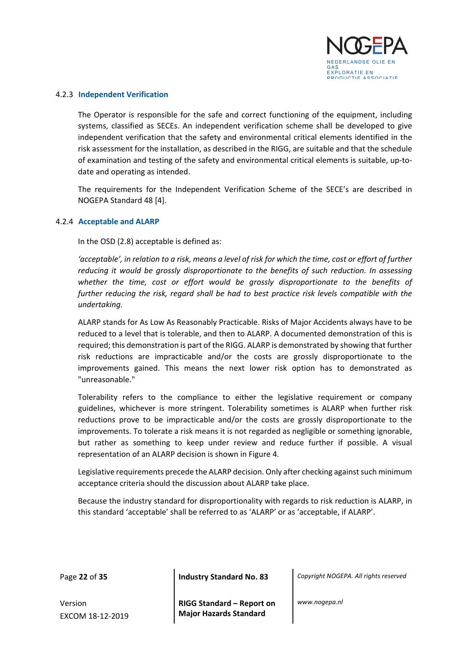

#### <span id="page-21-0"></span>4.2.3 **Independent Verification**

The Operator is responsible for the safe and correct functioning of the equipment, including systems, classified as SECEs. An independent verification scheme shall be developed to give independent verification that the safety and environmental critical elements identified in the risk assessment for the installation, as described in the RIGG, are suitable and that the schedule of examination and testing of the safety and environmental critical elements is suitable, up-todate and operating as intended.

The requirements for the Independent Verification Scheme of the SECE's are described in NOGEPA Standard 48 [4].

#### <span id="page-21-1"></span>4.2.4 **Acceptable and ALARP**

In the OSD (2.8) acceptable is defined as:

*'acceptable', in relation to a risk, means a level of risk for which the time, cost or effort of further reducing it would be grossly disproportionate to the benefits of such reduction. In assessing whether the time, cost or effort would be grossly disproportionate to the benefits of further reducing the risk, regard shall be had to best practice risk levels compatible with the undertaking.*

ALARP stands for As Low As Reasonably Practicable. Risks of Major Accidents always have to be reduced to a level that is tolerable, and then to ALARP. A documented demonstration of this is required; this demonstration is part of the RIGG. ALARP is demonstrated by showing that further risk reductions are impracticable and/or the costs are grossly disproportionate to the improvements gained. This means the next lower risk option has to demonstrated as "unreasonable."

Tolerability refers to the compliance to either the legislative requirement or company guidelines, whichever is more stringent. Tolerability sometimes is ALARP when further risk reductions prove to be impracticable and/or the costs are grossly disproportionate to the improvements. To tolerate a risk means it is not regarded as negligible or something ignorable, but rather as something to keep under review and reduce further if possible. A visual representation of an ALARP decision is shown in Figure 4.

Legislative requirements precede the ALARP decision. Only after checking against such minimum acceptance criteria should the discussion about ALARP take place.

Because the industry standard for disproportionality with regards to risk reduction is ALARP, in this standard 'acceptable' shall be referred to as 'ALARP' or as 'acceptable, if ALARP'.

Page **22** of **35 Industry Standard No. 83** *Copyright NOGEPA. All rights reserved*

Version EXCOM 18-12-2019 **RIGG Standard – Report on Major Hazards Standard**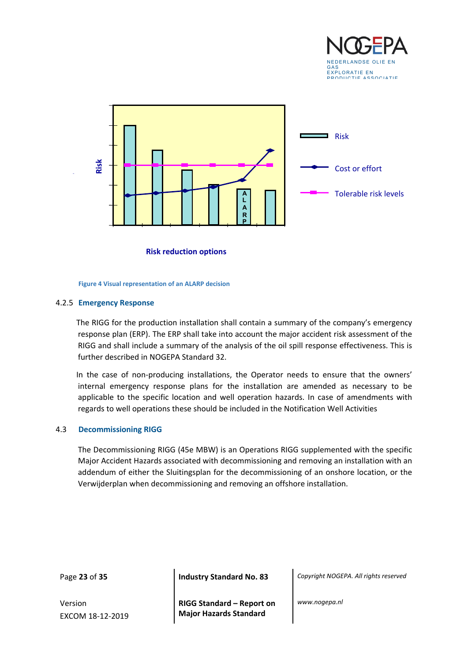



**Risk reduction options**

**Figure 4 Visual representation of an ALARP decision**

#### <span id="page-22-0"></span>4.2.5 **Emergency Response**

The RIGG for the production installation shall contain a summary of the company's emergency response plan (ERP). The ERP shall take into account the major accident risk assessment of the RIGG and shall include a summary of the analysis of the oil spill response effectiveness. This is further described in NOGEPA Standard 32.

In the case of non-producing installations, the Operator needs to ensure that the owners' internal emergency response plans for the installation are amended as necessary to be applicable to the specific location and well operation hazards. In case of amendments with regards to well operations these should be included in the Notification Well Activities

#### <span id="page-22-1"></span>4.3 **Decommissioning RIGG**

The Decommissioning RIGG (45e MBW) is an Operations RIGG supplemented with the specific Major Accident Hazards associated with decommissioning and removing an installation with an addendum of either the Sluitingsplan for the decommissioning of an onshore location, or the Verwijderplan when decommissioning and removing an offshore installation.

Version EXCOM 18-12-2019

Page **23** of **35 Industry Standard No. 83** *Copyright NOGEPA. All rights reserved*

**RIGG Standard – Report on Major Hazards Standard**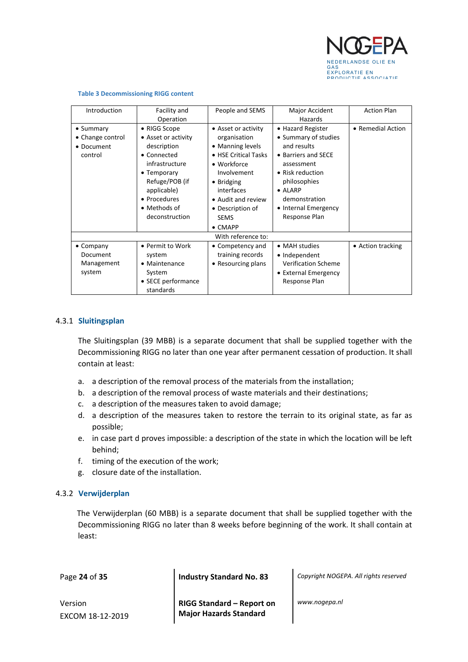

| Introduction       | Facility and        | People and SEMS      | Major Accident             | <b>Action Plan</b> |  |  |  |
|--------------------|---------------------|----------------------|----------------------------|--------------------|--|--|--|
|                    | Operation           |                      | Hazards                    |                    |  |  |  |
| $\bullet$ Summary  | • RIGG Scope        | • Asset or activity  | • Hazard Register          | • Remedial Action  |  |  |  |
| • Change control   | • Asset or activity | organisation         | • Summary of studies       |                    |  |  |  |
| • Document         | description         | • Manning levels     | and results                |                    |  |  |  |
| control            | • Connected         | • HSE Critical Tasks | • Barriers and SECE        |                    |  |  |  |
|                    | infrastructure      | • Workforce          | assessment                 |                    |  |  |  |
|                    | $\bullet$ Temporary | Involvement          | • Risk reduction           |                    |  |  |  |
|                    | Refuge/POB (if      | • Bridging           | philosophies               |                    |  |  |  |
|                    | applicable)         | interfaces           | $\bullet$ AI ARP           |                    |  |  |  |
|                    | • Procedures        | • Audit and review   | demonstration              |                    |  |  |  |
|                    | • Methods of        | • Description of     | • Internal Emergency       |                    |  |  |  |
|                    | deconstruction      | <b>SEMS</b>          | Response Plan              |                    |  |  |  |
|                    |                     | $\bullet$ CMAPP      |                            |                    |  |  |  |
| With reference to: |                     |                      |                            |                    |  |  |  |
| $\bullet$ Company  | • Permit to Work    | • Competency and     | • MAH studies              | • Action tracking  |  |  |  |
| Document           | system              | training records     | • Independent              |                    |  |  |  |
| Management         | • Maintenance       | • Resourcing plans   | <b>Verification Scheme</b> |                    |  |  |  |
| system             | System              |                      | • External Emergency       |                    |  |  |  |
|                    | • SECE performance  |                      | Response Plan              |                    |  |  |  |
|                    | standards           |                      |                            |                    |  |  |  |

#### **Table 3 Decommissioning RIGG content**

#### <span id="page-23-0"></span>4.3.1 **Sluitingsplan**

The Sluitingsplan (39 MBB) is a separate document that shall be supplied together with the Decommissioning RIGG no later than one year after permanent cessation of production. It shall contain at least:

- a. a description of the removal process of the materials from the installation;
- b. a description of the removal process of waste materials and their destinations;
- c. a description of the measures taken to avoid damage;
- d. a description of the measures taken to restore the terrain to its original state, as far as possible;
- e. in case part d proves impossible: a description of the state in which the location will be left behind;
- f. timing of the execution of the work;
- g. closure date of the installation.

#### <span id="page-23-1"></span>4.3.2 **Verwijderplan**

The Verwijderplan (60 MBB) is a separate document that shall be supplied together with the Decommissioning RIGG no later than 8 weeks before beginning of the work. It shall contain at least:

Page **24** of **35 Industry Standard No. 83** *Copyright NOGEPA. All rights reserved*

Version EXCOM 18-12-2019 **RIGG Standard – Report on Major Hazards Standard**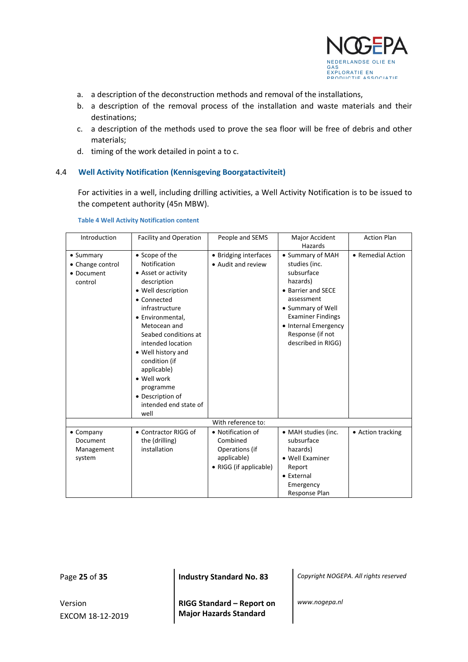

- a. a description of the deconstruction methods and removal of the installations,
- b. a description of the removal process of the installation and waste materials and their destinations;
- c. a description of the methods used to prove the sea floor will be free of debris and other materials;
- d. timing of the work detailed in point a to c.

#### <span id="page-24-0"></span>4.4 **Well Activity Notification (Kennisgeving Boorgatactiviteit)**

For activities in a well, including drilling activities, a Well Activity Notification is to be issued to the competent authority (45n MBW).

| Introduction      | <b>Facility and Operation</b> | People and SEMS        | Major Accident           | <b>Action Plan</b> |
|-------------------|-------------------------------|------------------------|--------------------------|--------------------|
|                   |                               |                        | Hazards                  |                    |
| • Summary         | • Scope of the                | • Bridging interfaces  | • Summary of MAH         | • Remedial Action  |
| • Change control  | Notification                  | • Audit and review     | studies (inc.            |                    |
| • Document        | • Asset or activity           |                        | subsurface               |                    |
| control           | description                   |                        | hazards)                 |                    |
|                   | • Well description            |                        | • Barrier and SECE       |                    |
|                   | • Connected                   |                        | assessment               |                    |
|                   | infrastructure                |                        | • Summary of Well        |                    |
|                   | • Environmental,              |                        | <b>Examiner Findings</b> |                    |
|                   | Metocean and                  |                        | • Internal Emergency     |                    |
|                   | Seabed conditions at          |                        | Response (if not         |                    |
|                   | intended location             |                        | described in RIGG)       |                    |
|                   | • Well history and            |                        |                          |                    |
|                   | condition (if                 |                        |                          |                    |
|                   | applicable)                   |                        |                          |                    |
|                   | · Well work                   |                        |                          |                    |
|                   | programme                     |                        |                          |                    |
|                   | • Description of              |                        |                          |                    |
|                   | intended end state of         |                        |                          |                    |
|                   | well                          |                        |                          |                    |
|                   |                               | With reference to:     |                          |                    |
| $\bullet$ Company | • Contractor RIGG of          | • Notification of      | • MAH studies (inc.      | • Action tracking  |
| Document          | the (drilling)                | Combined               | subsurface               |                    |
| Management        | installation                  | Operations (if         | hazards)                 |                    |
| system            |                               | applicable)            | • Well Examiner          |                    |
|                   |                               | • RIGG (if applicable) | Report                   |                    |
|                   |                               |                        | • External               |                    |
|                   |                               |                        | Emergency                |                    |
|                   |                               |                        | Response Plan            |                    |

#### **Table 4 Well Activity Notification content**

Version EXCOM 18-12-2019

Page **25** of **35 Industry Standard No. 83** *Copyright NOGEPA. All rights reserved*

**RIGG Standard – Report on Major Hazards Standard**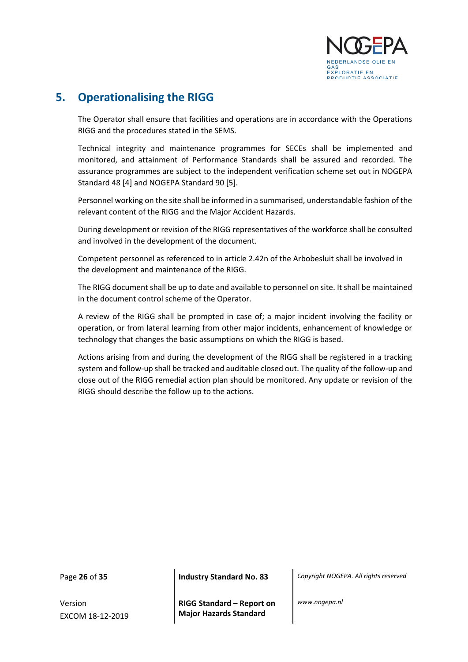

## <span id="page-25-0"></span>**5. Operationalising the RIGG**

The Operator shall ensure that facilities and operations are in accordance with the Operations RIGG and the procedures stated in the SEMS.

Technical integrity and maintenance programmes for SECEs shall be implemented and monitored, and attainment of Performance Standards shall be assured and recorded. The assurance programmes are subject to the independent verification scheme set out in NOGEPA Standard 48 [4] and NOGEPA Standard 90 [5].

Personnel working on the site shall be informed in a summarised, understandable fashion of the relevant content of the RIGG and the Major Accident Hazards.

During development or revision of the RIGG representatives of the workforce shall be consulted and involved in the development of the document.

Competent personnel as referenced to in article 2.42n of the Arbobesluit shall be involved in the development and maintenance of the RIGG.

The RIGG document shall be up to date and available to personnel on site. It shall be maintained in the document control scheme of the Operator.

A review of the RIGG shall be prompted in case of; a major incident involving the facility or operation, or from lateral learning from other major incidents, enhancement of knowledge or technology that changes the basic assumptions on which the RIGG is based.

Actions arising from and during the development of the RIGG shall be registered in a tracking system and follow-up shall be tracked and auditable closed out. The quality of the follow-up and close out of the RIGG remedial action plan should be monitored. Any update or revision of the RIGG should describe the follow up to the actions.

Version EXCOM 18-12-2019

Page **26** of **35 Industry Standard No. 83** *Copyright NOGEPA. All rights reserved*

**RIGG Standard – Report on Major Hazards Standard**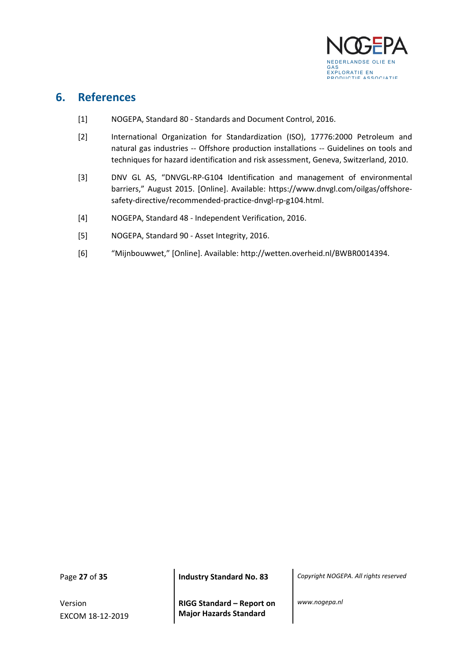

### <span id="page-26-0"></span>**6. References**

- [1] NOGEPA, Standard 80 Standards and Document Control, 2016.
- [2] International Organization for Standardization (ISO), 17776:2000 Petroleum and natural gas industries -- Offshore production installations -- Guidelines on tools and techniques for hazard identification and risk assessment, Geneva, Switzerland, 2010.
- [3] DNV GL AS, "DNVGL-RP-G104 Identification and management of environmental barriers," August 2015. [Online]. Available: https://www.dnvgl.com/oilgas/offshoresafety-directive/recommended-practice-dnvgl-rp-g104.html.
- [4] NOGEPA, Standard 48 Independent Verification, 2016.
- [5] NOGEPA, Standard 90 Asset Integrity, 2016.
- [6] "Mijnbouwwet," [Online]. Available: http://wetten.overheid.nl/BWBR0014394.

Version EXCOM 18-12-2019

**RIGG Standard – Report on Major Hazards Standard**

Page **27** of **35 Industry Standard No. 83** *Copyright NOGEPA. All rights reserved*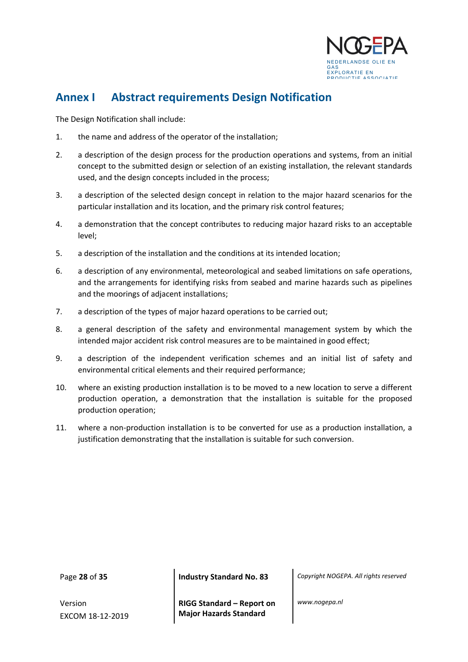

## <span id="page-27-0"></span>**Annex I Abstract requirements Design Notification**

The Design Notification shall include:

- 1. the name and address of the operator of the installation;
- 2. a description of the design process for the production operations and systems, from an initial concept to the submitted design or selection of an existing installation, the relevant standards used, and the design concepts included in the process;
- 3. a description of the selected design concept in relation to the major hazard scenarios for the particular installation and its location, and the primary risk control features;
- 4. a demonstration that the concept contributes to reducing major hazard risks to an acceptable level;
- 5. a description of the installation and the conditions at its intended location;
- 6. a description of any environmental, meteorological and seabed limitations on safe operations, and the arrangements for identifying risks from seabed and marine hazards such as pipelines and the moorings of adjacent installations;
- 7. a description of the types of major hazard operations to be carried out;
- 8. a general description of the safety and environmental management system by which the intended major accident risk control measures are to be maintained in good effect;
- 9. a description of the independent verification schemes and an initial list of safety and environmental critical elements and their required performance;
- 10. where an existing production installation is to be moved to a new location to serve a different production operation, a demonstration that the installation is suitable for the proposed production operation;
- 11. where a non-production installation is to be converted for use as a production installation, a justification demonstrating that the installation is suitable for such conversion.

Version EXCOM 18-12-2019

Page **28** of **35 Industry Standard No. 83** *Copyright NOGEPA. All rights reserved*

**RIGG Standard – Report on Major Hazards Standard**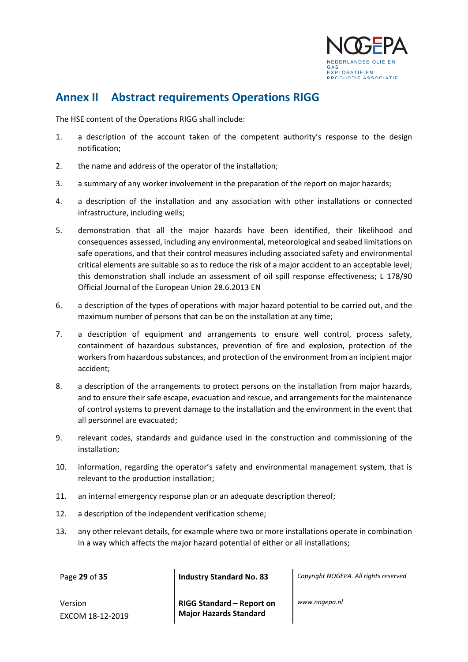

## <span id="page-28-0"></span>**Annex II Abstract requirements Operations RIGG**

The HSE content of the Operations RIGG shall include:

- 1. a description of the account taken of the competent authority's response to the design notification;
- 2. the name and address of the operator of the installation;
- 3. a summary of any worker involvement in the preparation of the report on major hazards;
- 4. a description of the installation and any association with other installations or connected infrastructure, including wells;
- 5. demonstration that all the major hazards have been identified, their likelihood and consequences assessed, including any environmental, meteorological and seabed limitations on safe operations, and that their control measures including associated safety and environmental critical elements are suitable so as to reduce the risk of a major accident to an acceptable level; this demonstration shall include an assessment of oil spill response effectiveness; L 178/90 Official Journal of the European Union 28.6.2013 EN
- 6. a description of the types of operations with major hazard potential to be carried out, and the maximum number of persons that can be on the installation at any time;
- 7. a description of equipment and arrangements to ensure well control, process safety, containment of hazardous substances, prevention of fire and explosion, protection of the workers from hazardous substances, and protection of the environment from an incipient major accident;
- 8. a description of the arrangements to protect persons on the installation from major hazards, and to ensure their safe escape, evacuation and rescue, and arrangements for the maintenance of control systems to prevent damage to the installation and the environment in the event that all personnel are evacuated;
- 9. relevant codes, standards and guidance used in the construction and commissioning of the installation;
- 10. information, regarding the operator's safety and environmental management system, that is relevant to the production installation;
- 11. an internal emergency response plan or an adequate description thereof;
- 12. a description of the independent verification scheme;
- 13. any other relevant details, for example where two or more installations operate in combination in a way which affects the major hazard potential of either or all installations;

Page **29** of **35 Industry Standard No. 83** *Copyright NOGEPA. All rights reserved*

Version EXCOM 18-12-2019 **RIGG Standard – Report on Major Hazards Standard**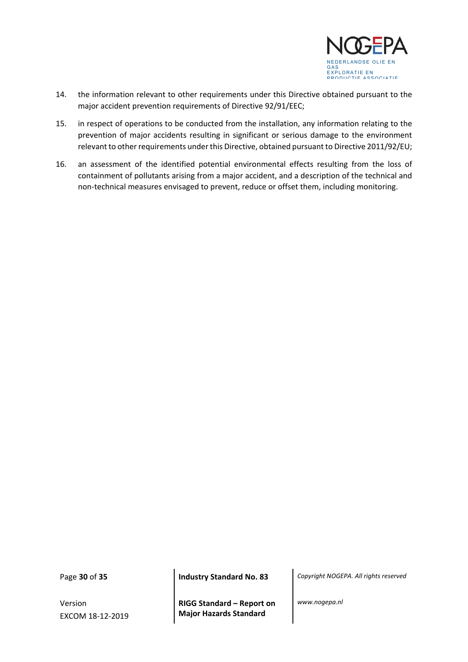

- 14. the information relevant to other requirements under this Directive obtained pursuant to the major accident prevention requirements of Directive 92/91/EEC;
- 15. in respect of operations to be conducted from the installation, any information relating to the prevention of major accidents resulting in significant or serious damage to the environment relevant to other requirements under this Directive, obtained pursuant to Directive 2011/92/EU;
- 16. an assessment of the identified potential environmental effects resulting from the loss of containment of pollutants arising from a major accident, and a description of the technical and non-technical measures envisaged to prevent, reduce or offset them, including monitoring.

Version EXCOM 18-12-2019

**RIGG Standard – Report on Major Hazards Standard**

Page **30** of **35 Industry Standard No. 83** *Copyright NOGEPA. All rights reserved*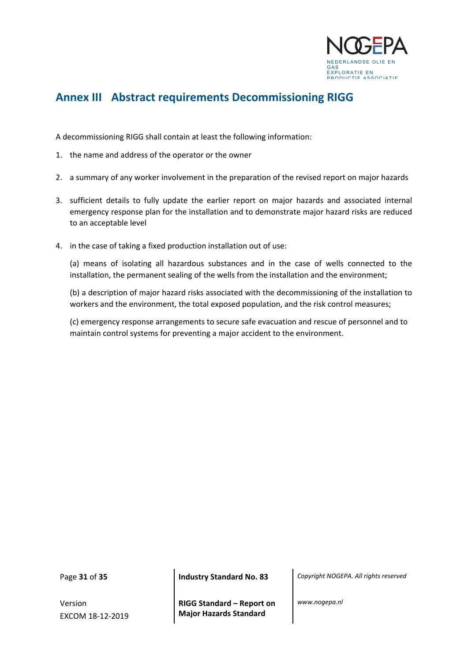

## <span id="page-30-0"></span>**Annex III Abstract requirements Decommissioning RIGG**

A decommissioning RIGG shall contain at least the following information:

- 1. the name and address of the operator or the owner
- 2. a summary of any worker involvement in the preparation of the revised report on major hazards
- 3. sufficient details to fully update the earlier report on major hazards and associated internal emergency response plan for the installation and to demonstrate major hazard risks are reduced to an acceptable level
- 4. in the case of taking a fixed production installation out of use:

(a) means of isolating all hazardous substances and in the case of wells connected to the installation, the permanent sealing of the wells from the installation and the environment;

(b) a description of major hazard risks associated with the decommissioning of the installation to workers and the environment, the total exposed population, and the risk control measures;

(c) emergency response arrangements to secure safe evacuation and rescue of personnel and to maintain control systems for preventing a major accident to the environment.

Version EXCOM 18-12-2019

Page **31** of **35 Industry Standard No. 83** *Copyright NOGEPA. All rights reserved*

**RIGG Standard – Report on Major Hazards Standard**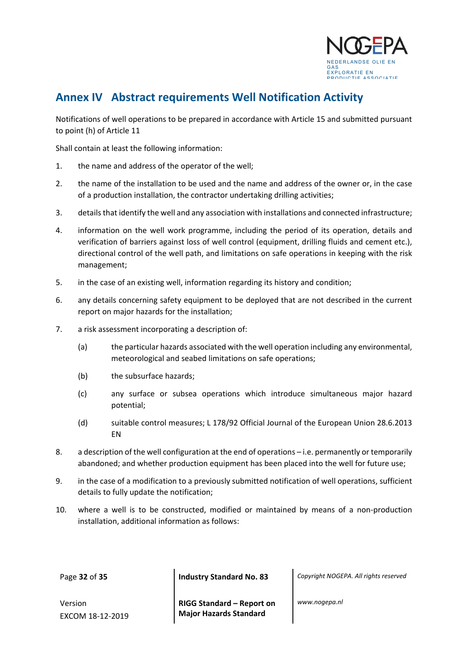

## <span id="page-31-0"></span>**Annex IV Abstract requirements Well Notification Activity**

Notifications of well operations to be prepared in accordance with Article 15 and submitted pursuant to point (h) of Article 11

Shall contain at least the following information:

- 1. the name and address of the operator of the well;
- 2. the name of the installation to be used and the name and address of the owner or, in the case of a production installation, the contractor undertaking drilling activities;
- 3. details that identify the well and any association with installations and connected infrastructure;
- 4. information on the well work programme, including the period of its operation, details and verification of barriers against loss of well control (equipment, drilling fluids and cement etc.), directional control of the well path, and limitations on safe operations in keeping with the risk management;
- 5. in the case of an existing well, information regarding its history and condition;
- 6. any details concerning safety equipment to be deployed that are not described in the current report on major hazards for the installation;
- 7. a risk assessment incorporating a description of:
	- (a) the particular hazards associated with the well operation including any environmental, meteorological and seabed limitations on safe operations;
	- (b) the subsurface hazards;
	- (c) any surface or subsea operations which introduce simultaneous major hazard potential;
	- (d) suitable control measures; L 178/92 Official Journal of the European Union 28.6.2013 EN
- 8. a description of the well configuration at the end of operations i.e. permanently or temporarily abandoned; and whether production equipment has been placed into the well for future use;
- 9. in the case of a modification to a previously submitted notification of well operations, sufficient details to fully update the notification;
- 10. where a well is to be constructed, modified or maintained by means of a non-production installation, additional information as follows:

Page **32** of **35 Industry Standard No. 83** *Copyright NOGEPA. All rights reserved*

Version EXCOM 18-12-2019 **RIGG Standard – Report on Major Hazards Standard**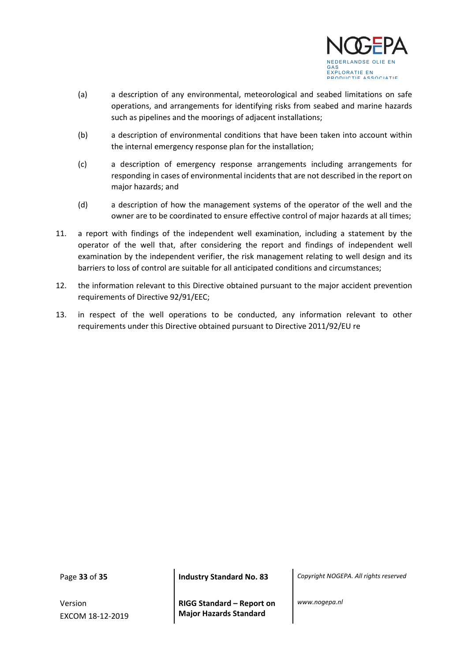

- (a) a description of any environmental, meteorological and seabed limitations on safe operations, and arrangements for identifying risks from seabed and marine hazards such as pipelines and the moorings of adjacent installations;
- (b) a description of environmental conditions that have been taken into account within the internal emergency response plan for the installation;
- (c) a description of emergency response arrangements including arrangements for responding in cases of environmental incidents that are not described in the report on major hazards; and
- (d) a description of how the management systems of the operator of the well and the owner are to be coordinated to ensure effective control of major hazards at all times;
- 11. a report with findings of the independent well examination, including a statement by the operator of the well that, after considering the report and findings of independent well examination by the independent verifier, the risk management relating to well design and its barriers to loss of control are suitable for all anticipated conditions and circumstances;
- 12. the information relevant to this Directive obtained pursuant to the major accident prevention requirements of Directive 92/91/EEC;
- 13. in respect of the well operations to be conducted, any information relevant to other requirements under this Directive obtained pursuant to Directive 2011/92/EU re

Version EXCOM 18-12-2019

Page **33** of **35 Industry Standard No. 83** *Copyright NOGEPA. All rights reserved*

**RIGG Standard – Report on Major Hazards Standard**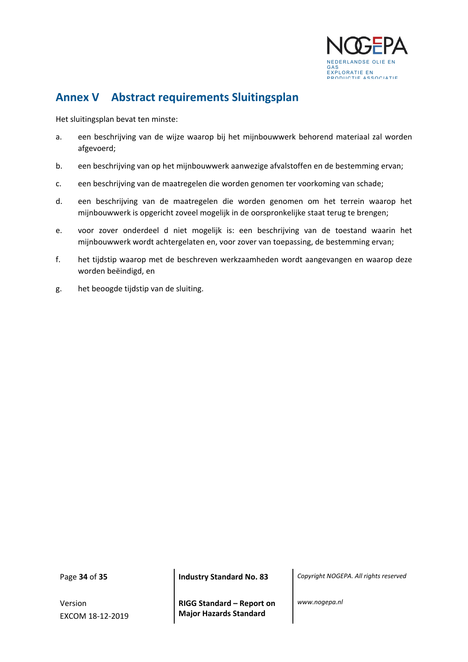

## <span id="page-33-0"></span>**Annex V Abstract requirements Sluitingsplan**

Het sluitingsplan bevat ten minste:

- a. een beschrijving van de wijze waarop bij het mijnbouwwerk behorend materiaal zal worden afgevoerd;
- b. een beschrijving van op het mijnbouwwerk aanwezige afvalstoffen en de bestemming ervan;
- c. een beschrijving van de maatregelen die worden genomen ter voorkoming van schade;
- d. een beschrijving van de maatregelen die worden genomen om het terrein waarop het mijnbouwwerk is opgericht zoveel mogelijk in de oorspronkelijke staat terug te brengen;
- e. voor zover onderdeel d niet mogelijk is: een beschrijving van de toestand waarin het mijnbouwwerk wordt achtergelaten en, voor zover van toepassing, de bestemming ervan;
- f. het tijdstip waarop met de beschreven werkzaamheden wordt aangevangen en waarop deze worden beëindigd, en
- g. het beoogde tijdstip van de sluiting.

Version EXCOM 18-12-2019

**RIGG Standard – Report on Major Hazards Standard**

Page **34** of **35 Industry Standard No. 83** *Copyright NOGEPA. All rights reserved*